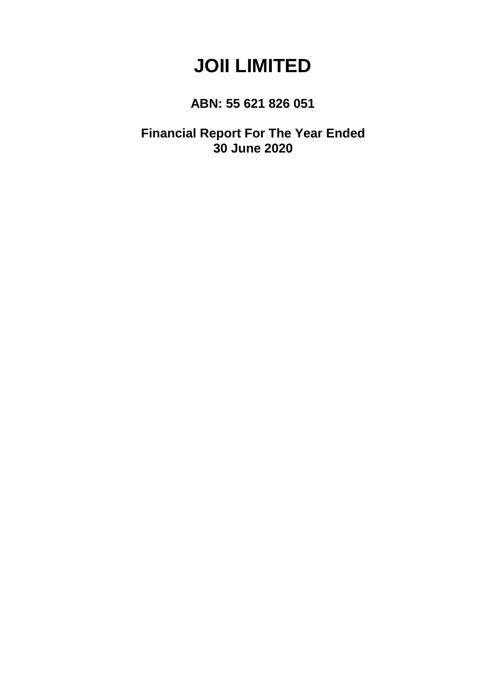# **JOII LIMITED**

# **ABN: 55 621 826 051**

**Financial Report For The Year Ended 30 June 2020**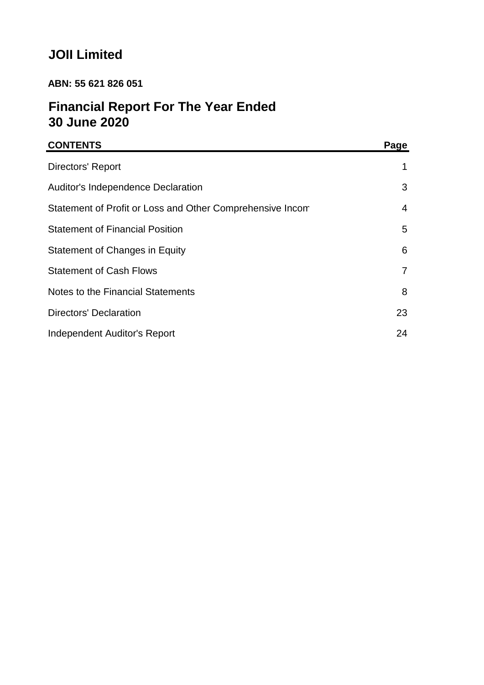# **JOII Limited**

# **ABN: 55 621 826 051**

# **Financial Report For The Year Ended 30 June 2020**

| <b>CONTENTS</b>                                           | Page |
|-----------------------------------------------------------|------|
| Directors' Report                                         | 1    |
| Auditor's Independence Declaration                        | 3    |
| Statement of Profit or Loss and Other Comprehensive Incom | 4    |
| <b>Statement of Financial Position</b>                    | 5    |
| Statement of Changes in Equity                            | 6    |
| <b>Statement of Cash Flows</b>                            | 7    |
| Notes to the Financial Statements                         | 8    |
| Directors' Declaration                                    | 23   |
| <b>Independent Auditor's Report</b>                       | 24   |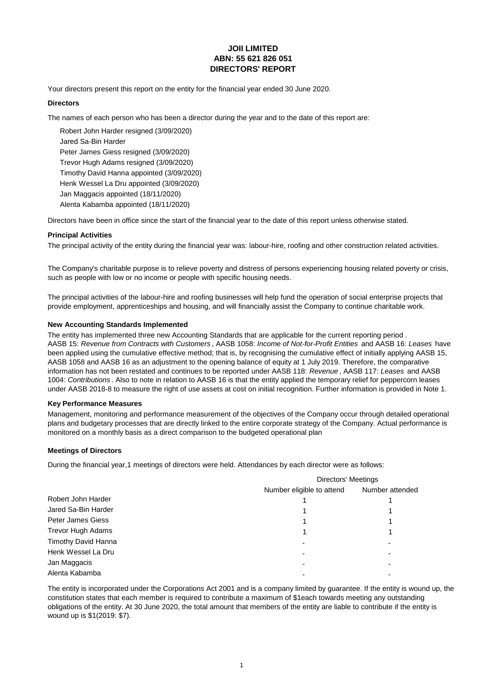# **JOII LIMITED ABN: 55 621 826 051 DIRECTORS' REPORT**

Your directors present this report on the entity for the financial year ended 30 June 2020.

# **Directors**

The names of each person who has been a director during the year and to the date of this report are:

Jared Sa-Bin Harder Peter James Giess resigned (3/09/2020) Henk Wessel La Dru appointed (3/09/2020) Trevor Hugh Adams resigned (3/09/2020) Timothy David Hanna appointed (3/09/2020) Jan Maggacis appointed (18/11/2020) Alenta Kabamba appointed (18/11/2020) Robert John Harder resigned (3/09/2020)

Directors have been in office since the start of the financial year to the date of this report unless otherwise stated.

### **Principal Activities**

The principal activity of the entity during the financial year was: labour-hire, roofing and other construction related activities.

The Company's charitable purpose is to relieve poverty and distress of persons experiencing housing related poverty or crisis, such as people with low or no income or people with specific housing needs.

The principal activities of the labour-hire and roofing businesses will help fund the operation of social enterprise projects that provide employment, apprenticeships and housing, and will financially assist the Company to continue charitable work.

## **New Accounting Standards Implemented**

The entity has implemented three new Accounting Standards that are applicable for the current reporting period. AASB 15: *Revenue from Contracts with Customers* , AASB 1058: *Income of Not-for-Profit Entities* and AASB 16: *Leases* have been applied using the cumulative effective method; that is, by recognising the cumulative effect of initially applying AASB 15, AASB 1058 and AASB 16 as an adjustment to the opening balance of equity at 1 July 2019. Therefore, the comparative information has not been restated and continues to be reported under AASB 118: *Revenue* , AASB 117: *Leases* and AASB 1004: *Contributions* . Also to note in relation to AASB 16 is that the entity applied the temporary relief for peppercorn leases under AASB 2018-8 to measure the right of use assets at cost on initial recognition. Further information is provided in Note 1.

### **Key Performance Measures**

Management, monitoring and performance measurement of the objectives of the Company occur through detailed operational plans and budgetary processes that are directly linked to the entire corporate strategy of the Company. Actual performance is monitored on a monthly basis as a direct comparison to the budgeted operational plan

## **Meetings of Directors**

During the financial year,1 meetings of directors were held. Attendances by each director were as follows:

|                          | Directors' Meetings       |                          |  |
|--------------------------|---------------------------|--------------------------|--|
|                          | Number eligible to attend | Number attended          |  |
| Robert John Harder       |                           |                          |  |
| Jared Sa-Bin Harder      |                           |                          |  |
| Peter James Giess        |                           |                          |  |
| <b>Trevor Hugh Adams</b> |                           |                          |  |
| Timothy David Hanna      |                           | ۰                        |  |
| Henk Wessel La Dru       |                           | ۰                        |  |
| Jan Maggacis             |                           | $\overline{\phantom{0}}$ |  |
| Alenta Kabamba           |                           |                          |  |

The entity is incorporated under the Corporations Act 2001 and is a company limited by guarantee. If the entity is wound up, the constitution states that each member is required to contribute a maximum of \$1each towards meeting any outstanding obligations of the entity. At 30 June 2020, the total amount that members of the entity are liable to contribute if the entity is wound up is \$1(2019: \$7).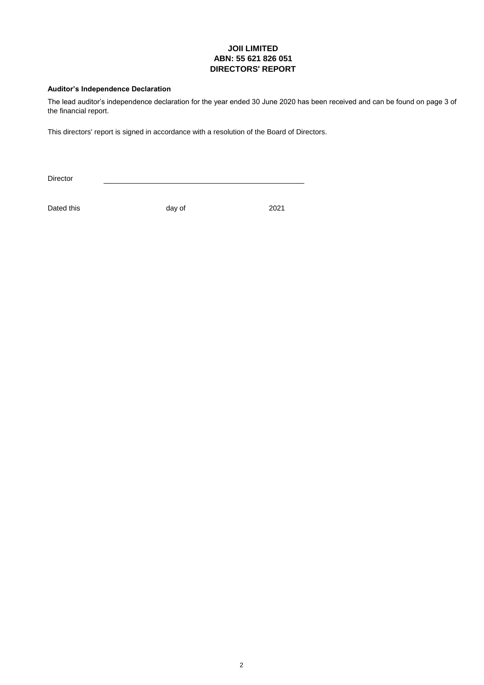# **JOII LIMITED ABN: 55 621 826 051 DIRECTORS' REPORT**

# **Auditor's Independence Declaration**

The lead auditor's independence declaration for the year ended 30 June 2020 has been received and can be found on page 3 of the financial report.

This directors' report is signed in accordance with a resolution of the Board of Directors.

Director

Dated this day of 2021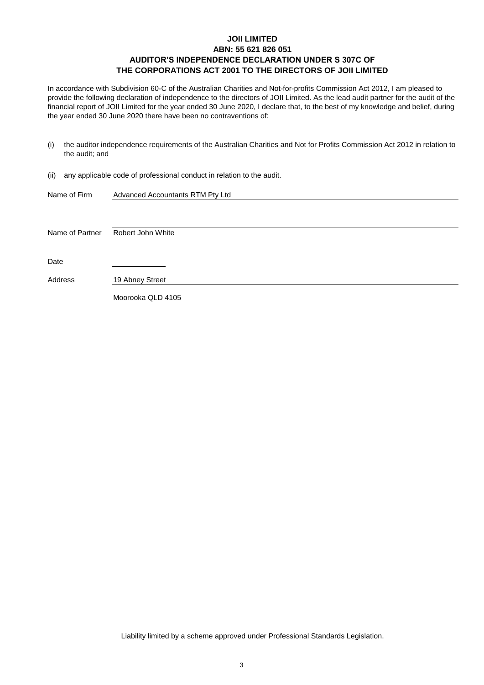# **JOII LIMITED ABN: 55 621 826 051 AUDITOR'S INDEPENDENCE DECLARATION UNDER S 307C OF THE CORPORATIONS ACT 2001 TO THE DIRECTORS OF JOII LIMITED**

In accordance with Subdivision 60-C of the Australian Charities and Not-for-profits Commission Act 2012, I am pleased to provide the following declaration of independence to the directors of JOII Limited. As the lead audit partner for the audit of the financial report of JOII Limited for the year ended 30 June 2020, I declare that, to the best of my knowledge and belief, during the year ended 30 June 2020 there have been no contraventions of:

- (i) the auditor independence requirements of the Australian Charities and Not for Profits Commission Act 2012 in relation to the audit; and
- (ii) any applicable code of professional conduct in relation to the audit.

| Name of Firm    | Advanced Accountants RTM Pty Ltd |
|-----------------|----------------------------------|
|                 |                                  |
|                 |                                  |
| Name of Partner | Robert John White                |
|                 |                                  |
| Date            |                                  |
|                 |                                  |
| Address         | 19 Abney Street                  |
|                 | Moorooka QLD 4105                |
|                 |                                  |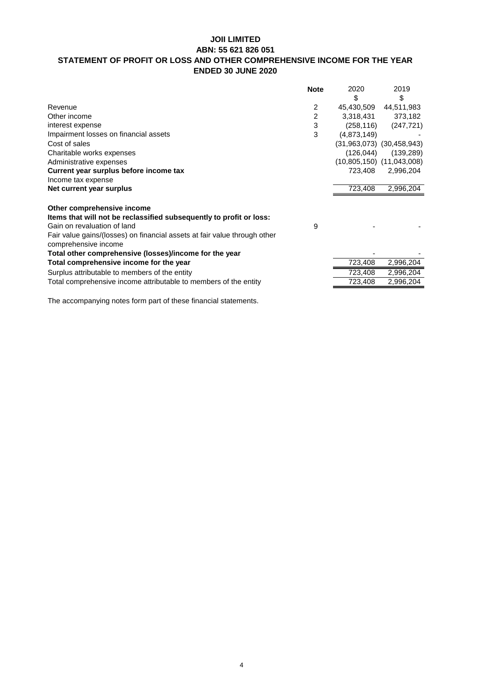# **JOII LIMITED ABN: 55 621 826 051 STATEMENT OF PROFIT OR LOSS AND OTHER COMPREHENSIVE INCOME FOR THE YEAR ENDED 30 JUNE 2020**

|                                                                           | <b>Note</b> | 2020        | 2019                          |
|---------------------------------------------------------------------------|-------------|-------------|-------------------------------|
|                                                                           |             | \$          | \$                            |
| Revenue                                                                   | 2           | 45,430,509  | 44,511,983                    |
| Other income                                                              | 2           | 3,318,431   | 373,182                       |
| interest expense                                                          | 3           | (258, 116)  | (247, 721)                    |
| Impairment losses on financial assets                                     | 3           | (4,873,149) |                               |
| Cost of sales                                                             |             |             | $(31,963,073)$ $(30,458,943)$ |
| Charitable works expenses                                                 |             | (126, 044)  | (139, 289)                    |
| Administrative expenses                                                   |             |             | $(10,805,150)$ $(11,043,008)$ |
| Current year surplus before income tax                                    |             | 723,408     | 2,996,204                     |
| Income tax expense                                                        |             |             |                               |
| Net current year surplus                                                  |             | 723,408     | 2,996,204                     |
|                                                                           |             |             |                               |
| Other comprehensive income                                                |             |             |                               |
| Items that will not be reclassified subsequently to profit or loss:       |             |             |                               |
| Gain on revaluation of land                                               | 9           |             |                               |
| Fair value gains/(losses) on financial assets at fair value through other |             |             |                               |
| comprehensive income                                                      |             |             |                               |
| Total other comprehensive (losses)/income for the year                    |             |             |                               |
| Total comprehensive income for the year                                   |             | 723,408     | 2,996,204                     |
| Surplus attributable to members of the entity                             |             | 723,408     | 2,996,204                     |
| Total comprehensive income attributable to members of the entity          |             | 723,408     | 2,996,204                     |
|                                                                           |             |             |                               |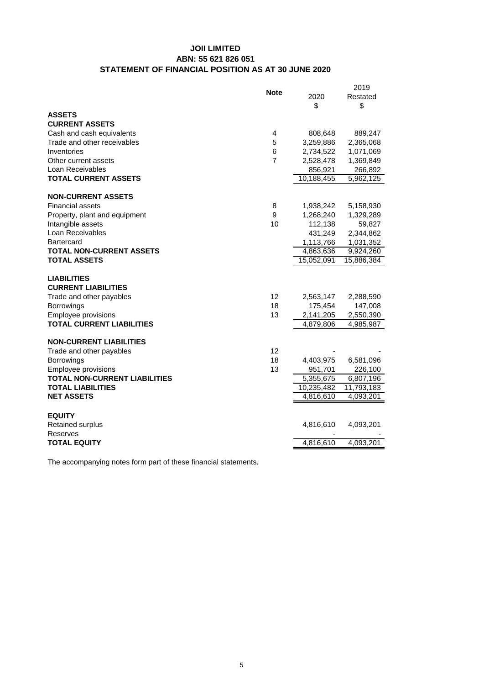# **JOII LIMITED ABN: 55 621 826 051 STATEMENT OF FINANCIAL POSITION AS AT 30 JUNE 2020**

| <b>ASSETS</b>                                       |            |
|-----------------------------------------------------|------------|
| <b>CURRENT ASSETS</b>                               |            |
| Cash and cash equivalents<br>4<br>808,648           | 889,247    |
| Trade and other receivables<br>5<br>3,259,886       | 2,365,068  |
| Inventories<br>6<br>2,734,522                       | 1,071,069  |
| $\overline{7}$<br>Other current assets<br>2,528,478 | 1,369,849  |
| Loan Receivables<br>856,921                         | 266,892    |
| <b>TOTAL CURRENT ASSETS</b><br>10,188,455           | 5,962,125  |
| <b>NON-CURRENT ASSETS</b>                           |            |
| <b>Financial assets</b><br>8<br>1,938,242           | 5,158,930  |
| 9<br>Property, plant and equipment<br>1,268,240     | 1,329,289  |
| Intangible assets<br>10<br>112,138                  | 59,827     |
| Loan Receivables<br>431,249                         | 2,344,862  |
| <b>Bartercard</b><br>1,113,766                      | 1,031,352  |
| <b>TOTAL NON-CURRENT ASSETS</b><br>4,863,636        | 9,924,260  |
| <b>TOTAL ASSETS</b><br>15,052,091                   | 15,886,384 |
| <b>LIABILITIES</b>                                  |            |
| <b>CURRENT LIABILITIES</b>                          |            |
| Trade and other payables<br>12<br>2,563,147         | 2,288,590  |
| 18<br>175,454<br><b>Borrowings</b>                  | 147,008    |
| Employee provisions<br>13<br>2,141,205              | 2,550,390  |
| <b>TOTAL CURRENT LIABILITIES</b><br>4,879,806       | 4,985,987  |
| <b>NON-CURRENT LIABILITIES</b>                      |            |
| 12<br>Trade and other payables                      |            |
| <b>Borrowings</b><br>18<br>4,403,975                | 6,581,096  |
| Employee provisions<br>13<br>951,701                | 226,100    |
| <b>TOTAL NON-CURRENT LIABILITIES</b><br>5,355,675   | 6,807,196  |
| <b>TOTAL LIABILITIES</b><br>10,235,482              | 11,793,183 |
| <b>NET ASSETS</b><br>4,816,610                      | 4,093,201  |
| <b>EQUITY</b>                                       |            |
| 4,816,610<br><b>Retained surplus</b>                | 4,093,201  |
| Reserves                                            |            |
| <b>TOTAL EQUITY</b><br>4,816,610                    | 4,093,201  |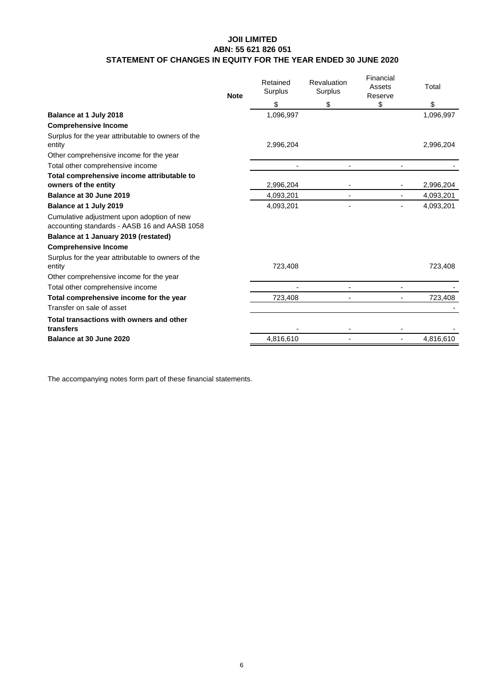# **JOII LIMITED ABN: 55 621 826 051 STATEMENT OF CHANGES IN EQUITY FOR THE YEAR ENDED 30 JUNE 2020**

| \$<br>\$<br>\$<br>\$<br>1,096,997<br>1,096,997<br>Balance at 1 July 2018<br><b>Comprehensive Income</b><br>Surplus for the year attributable to owners of the<br>2,996,204<br>2,996,204<br>entity<br>Other comprehensive income for the year<br>Total other comprehensive income<br>Total comprehensive income attributable to<br>owners of the entity<br>2,996,204<br>2,996,204<br>Balance at 30 June 2019<br>4,093,201<br>4,093,201<br>Balance at 1 July 2019<br>4,093,201<br>4,093,201<br>٠<br>Cumulative adjustment upon adoption of new<br>accounting standards - AASB 16 and AASB 1058<br>Balance at 1 January 2019 (restated)<br><b>Comprehensive Income</b><br>Surplus for the year attributable to owners of the<br>723,408<br>723,408<br>entity<br>Other comprehensive income for the year<br>Total other comprehensive income<br>٠<br>Total comprehensive income for the year<br>723,408<br>723,408<br>Transfer on sale of asset<br>Total transactions with owners and other<br>transfers<br>4,816,610<br>4,816,610<br>Balance at 30 June 2020 | <b>Note</b> | Retained<br>Surplus | Revaluation<br>Surplus | Financial<br>Assets<br>Reserve | Total |
|-----------------------------------------------------------------------------------------------------------------------------------------------------------------------------------------------------------------------------------------------------------------------------------------------------------------------------------------------------------------------------------------------------------------------------------------------------------------------------------------------------------------------------------------------------------------------------------------------------------------------------------------------------------------------------------------------------------------------------------------------------------------------------------------------------------------------------------------------------------------------------------------------------------------------------------------------------------------------------------------------------------------------------------------------------------|-------------|---------------------|------------------------|--------------------------------|-------|
|                                                                                                                                                                                                                                                                                                                                                                                                                                                                                                                                                                                                                                                                                                                                                                                                                                                                                                                                                                                                                                                           |             |                     |                        |                                |       |
|                                                                                                                                                                                                                                                                                                                                                                                                                                                                                                                                                                                                                                                                                                                                                                                                                                                                                                                                                                                                                                                           |             |                     |                        |                                |       |
|                                                                                                                                                                                                                                                                                                                                                                                                                                                                                                                                                                                                                                                                                                                                                                                                                                                                                                                                                                                                                                                           |             |                     |                        |                                |       |
|                                                                                                                                                                                                                                                                                                                                                                                                                                                                                                                                                                                                                                                                                                                                                                                                                                                                                                                                                                                                                                                           |             |                     |                        |                                |       |
|                                                                                                                                                                                                                                                                                                                                                                                                                                                                                                                                                                                                                                                                                                                                                                                                                                                                                                                                                                                                                                                           |             |                     |                        |                                |       |
|                                                                                                                                                                                                                                                                                                                                                                                                                                                                                                                                                                                                                                                                                                                                                                                                                                                                                                                                                                                                                                                           |             |                     |                        |                                |       |
|                                                                                                                                                                                                                                                                                                                                                                                                                                                                                                                                                                                                                                                                                                                                                                                                                                                                                                                                                                                                                                                           |             |                     |                        |                                |       |
|                                                                                                                                                                                                                                                                                                                                                                                                                                                                                                                                                                                                                                                                                                                                                                                                                                                                                                                                                                                                                                                           |             |                     |                        |                                |       |
|                                                                                                                                                                                                                                                                                                                                                                                                                                                                                                                                                                                                                                                                                                                                                                                                                                                                                                                                                                                                                                                           |             |                     |                        |                                |       |
|                                                                                                                                                                                                                                                                                                                                                                                                                                                                                                                                                                                                                                                                                                                                                                                                                                                                                                                                                                                                                                                           |             |                     |                        |                                |       |
|                                                                                                                                                                                                                                                                                                                                                                                                                                                                                                                                                                                                                                                                                                                                                                                                                                                                                                                                                                                                                                                           |             |                     |                        |                                |       |
|                                                                                                                                                                                                                                                                                                                                                                                                                                                                                                                                                                                                                                                                                                                                                                                                                                                                                                                                                                                                                                                           |             |                     |                        |                                |       |
|                                                                                                                                                                                                                                                                                                                                                                                                                                                                                                                                                                                                                                                                                                                                                                                                                                                                                                                                                                                                                                                           |             |                     |                        |                                |       |
|                                                                                                                                                                                                                                                                                                                                                                                                                                                                                                                                                                                                                                                                                                                                                                                                                                                                                                                                                                                                                                                           |             |                     |                        |                                |       |
|                                                                                                                                                                                                                                                                                                                                                                                                                                                                                                                                                                                                                                                                                                                                                                                                                                                                                                                                                                                                                                                           |             |                     |                        |                                |       |
|                                                                                                                                                                                                                                                                                                                                                                                                                                                                                                                                                                                                                                                                                                                                                                                                                                                                                                                                                                                                                                                           |             |                     |                        |                                |       |
|                                                                                                                                                                                                                                                                                                                                                                                                                                                                                                                                                                                                                                                                                                                                                                                                                                                                                                                                                                                                                                                           |             |                     |                        |                                |       |
|                                                                                                                                                                                                                                                                                                                                                                                                                                                                                                                                                                                                                                                                                                                                                                                                                                                                                                                                                                                                                                                           |             |                     |                        |                                |       |
|                                                                                                                                                                                                                                                                                                                                                                                                                                                                                                                                                                                                                                                                                                                                                                                                                                                                                                                                                                                                                                                           |             |                     |                        |                                |       |
|                                                                                                                                                                                                                                                                                                                                                                                                                                                                                                                                                                                                                                                                                                                                                                                                                                                                                                                                                                                                                                                           |             |                     |                        |                                |       |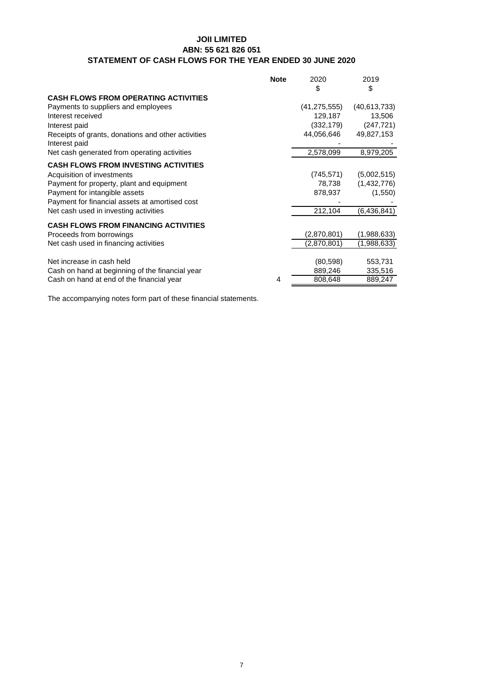# **JOII LIMITED ABN: 55 621 826 051 STATEMENT OF CASH FLOWS FOR THE YEAR ENDED 30 JUNE 2020**

|                                                    | <b>Note</b> | 2020           | 2019           |
|----------------------------------------------------|-------------|----------------|----------------|
|                                                    |             | \$             | \$             |
| <b>CASH FLOWS FROM OPERATING ACTIVITIES</b>        |             |                |                |
| Payments to suppliers and employees                |             | (41, 275, 555) | (40, 613, 733) |
| Interest received                                  |             | 129,187        | 13,506         |
| Interest paid                                      |             | (332,179)      | (247, 721)     |
| Receipts of grants, donations and other activities |             | 44,056,646     | 49,827,153     |
| Interest paid                                      |             |                |                |
| Net cash generated from operating activities       |             | 2,578,099      | 8,979,205      |
| <b>CASH FLOWS FROM INVESTING ACTIVITIES</b>        |             |                |                |
| Acquisition of investments                         |             | (745, 571)     | (5,002,515)    |
| Payment for property, plant and equipment          |             | 78,738         | (1,432,776)    |
| Payment for intangible assets                      |             | 878,937        | (1,550)        |
| Payment for financial assets at amortised cost     |             |                |                |
| Net cash used in investing activities              |             | 212,104        | (6,436,841)    |
| <b>CASH FLOWS FROM FINANCING ACTIVITIES</b>        |             |                |                |
| Proceeds from borrowings                           |             | (2,870,801)    | (1,988,633)    |
| Net cash used in financing activities              |             | (2,870,801)    | (1,988,633)    |
|                                                    |             |                |                |
| Net increase in cash held                          |             | (80, 598)      | 553,731        |
| Cash on hand at beginning of the financial year    |             | 889,246        | 335,516        |
| Cash on hand at end of the financial year          | 4           | 808,648        | 889,247        |
|                                                    |             |                |                |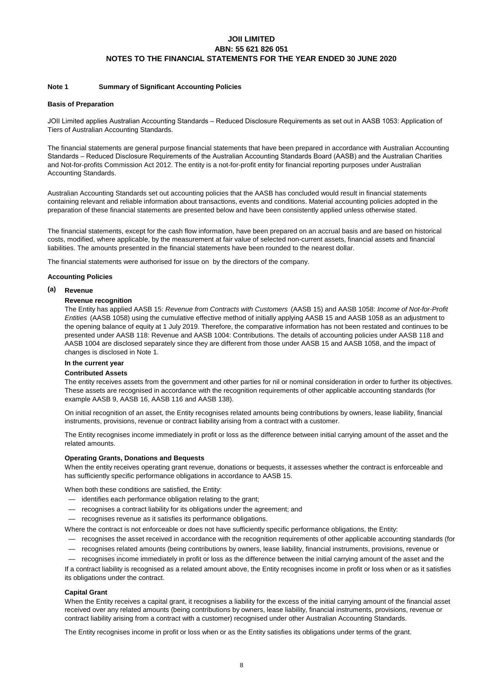#### **Note 1 Summary of Significant Accounting Policies**

#### **Basis of Preparation**

JOII Limited applies Australian Accounting Standards – Reduced Disclosure Requirements as set out in AASB 1053: Application of Tiers of Australian Accounting Standards.

The financial statements are general purpose financial statements that have been prepared in accordance with Australian Accounting Standards – Reduced Disclosure Requirements of the Australian Accounting Standards Board (AASB) and the Australian Charities and Not-for-profits Commission Act 2012. The entity is a not-for-profit entity for financial reporting purposes under Australian Accounting Standards.

Australian Accounting Standards set out accounting policies that the AASB has concluded would result in financial statements containing relevant and reliable information about transactions, events and conditions. Material accounting policies adopted in the preparation of these financial statements are presented below and have been consistently applied unless otherwise stated.

The financial statements, except for the cash flow information, have been prepared on an accrual basis and are based on historical costs, modified, where applicable, by the measurement at fair value of selected non-current assets, financial assets and financial liabilities. The amounts presented in the financial statements have been rounded to the nearest dollar.

The financial statements were authorised for issue on by the directors of the company.

#### **Accounting Policies**

#### **(a) Revenue**

#### **Revenue recognition**

The Entity has applied AASB 15: *Revenue from Contracts with Customers* (AASB 15) and AASB 1058: *Income of Not-for-Profit Entities* (AASB 1058) using the cumulative effective method of initially applying AASB 15 and AASB 1058 as an adjustment to the opening balance of equity at 1 July 2019. Therefore, the comparative information has not been restated and continues to be presented under AASB 118: Revenue and AASB 1004: Contributions. The details of accounting policies under AASB 118 and AASB 1004 are disclosed separately since they are different from those under AASB 15 and AASB 1058, and the impact of changes is disclosed in Note 1.

## **In the current year**

#### **Contributed Assets**

The entity receives assets from the government and other parties for nil or nominal consideration in order to further its objectives. These assets are recognised in accordance with the recognition requirements of other applicable accounting standards (for example AASB 9, AASB 16, AASB 116 and AASB 138).

On initial recognition of an asset, the Entity recognises related amounts being contributions by owners, lease liability, financial instruments, provisions, revenue or contract liability arising from a contract with a customer.

The Entity recognises income immediately in profit or loss as the difference between initial carrying amount of the asset and the related amounts.

#### **Operating Grants, Donations and Bequests**

When the entity receives operating grant revenue, donations or bequests, it assesses whether the contract is enforceable and has sufficiently specific performance obligations in accordance to AASB 15.

When both these conditions are satisfied, the Entity:

- identifies each performance obligation relating to the grant;
- recognises a contract liability for its obligations under the agreement; and
- recognises revenue as it satisfies its performance obligations.

Where the contract is not enforceable or does not have sufficiently specific performance obligations, the Entity:

- recognises the asset received in accordance with the recognition requirements of other applicable accounting standards (for
- recognises related amounts (being contributions by owners, lease liability, financial instruments, provisions, revenue or

— recognises income immediately in profit or loss as the difference between the initial carrying amount of the asset and the

If a contract liability is recognised as a related amount above, the Entity recognises income in profit or loss when or as it satisfies its obligations under the contract.

#### **Capital Grant**

When the Entity receives a capital grant, it recognises a liability for the excess of the initial carrying amount of the financial asset received over any related amounts (being contributions by owners, lease liability, financial instruments, provisions, revenue or contract liability arising from a contract with a customer) recognised under other Australian Accounting Standards.

The Entity recognises income in profit or loss when or as the Entity satisfies its obligations under terms of the grant.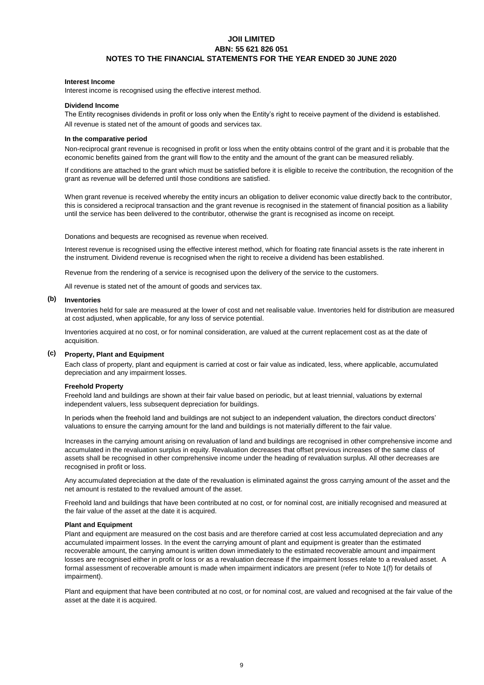#### **Interest Income**

Interest income is recognised using the effective interest method.

#### **Dividend Income**

All revenue is stated net of the amount of goods and services tax. The Entity recognises dividends in profit or loss only when the Entity's right to receive payment of the dividend is established.

#### **In the comparative period**

Non-reciprocal grant revenue is recognised in profit or loss when the entity obtains control of the grant and it is probable that the economic benefits gained from the grant will flow to the entity and the amount of the grant can be measured reliably.

If conditions are attached to the grant which must be satisfied before it is eligible to receive the contribution, the recognition of the grant as revenue will be deferred until those conditions are satisfied.

When grant revenue is received whereby the entity incurs an obligation to deliver economic value directly back to the contributor, this is considered a reciprocal transaction and the grant revenue is recognised in the statement of financial position as a liability until the service has been delivered to the contributor, otherwise the grant is recognised as income on receipt.

#### Donations and bequests are recognised as revenue when received.

Interest revenue is recognised using the effective interest method, which for floating rate financial assets is the rate inherent in the instrument. Dividend revenue is recognised when the right to receive a dividend has been established.

Revenue from the rendering of a service is recognised upon the delivery of the service to the customers.

All revenue is stated net of the amount of goods and services tax.

#### **(b) Inventories**

Inventories held for sale are measured at the lower of cost and net realisable value. Inventories held for distribution are measured at cost adjusted, when applicable, for any loss of service potential.

Inventories acquired at no cost, or for nominal consideration, are valued at the current replacement cost as at the date of acquisition.

#### **(c) Property, Plant and Equipment**

Each class of property, plant and equipment is carried at cost or fair value as indicated, less, where applicable, accumulated depreciation and any impairment losses.

#### **Freehold Property**

Freehold land and buildings are shown at their fair value based on periodic, but at least triennial, valuations by external independent valuers, less subsequent depreciation for buildings.

In periods when the freehold land and buildings are not subject to an independent valuation, the directors conduct directors' valuations to ensure the carrying amount for the land and buildings is not materially different to the fair value.

Increases in the carrying amount arising on revaluation of land and buildings are recognised in other comprehensive income and accumulated in the revaluation surplus in equity. Revaluation decreases that offset previous increases of the same class of assets shall be recognised in other comprehensive income under the heading of revaluation surplus. All other decreases are recognised in profit or loss.

Any accumulated depreciation at the date of the revaluation is eliminated against the gross carrying amount of the asset and the net amount is restated to the revalued amount of the asset.

Freehold land and buildings that have been contributed at no cost, or for nominal cost, are initially recognised and measured at the fair value of the asset at the date it is acquired.

#### **Plant and Equipment**

Plant and equipment are measured on the cost basis and are therefore carried at cost less accumulated depreciation and any accumulated impairment losses. In the event the carrying amount of plant and equipment is greater than the estimated recoverable amount, the carrying amount is written down immediately to the estimated recoverable amount and impairment losses are recognised either in profit or loss or as a revaluation decrease if the impairment losses relate to a revalued asset. A formal assessment of recoverable amount is made when impairment indicators are present (refer to Note 1(f) for details of impairment).

Plant and equipment that have been contributed at no cost, or for nominal cost, are valued and recognised at the fair value of the asset at the date it is acquired.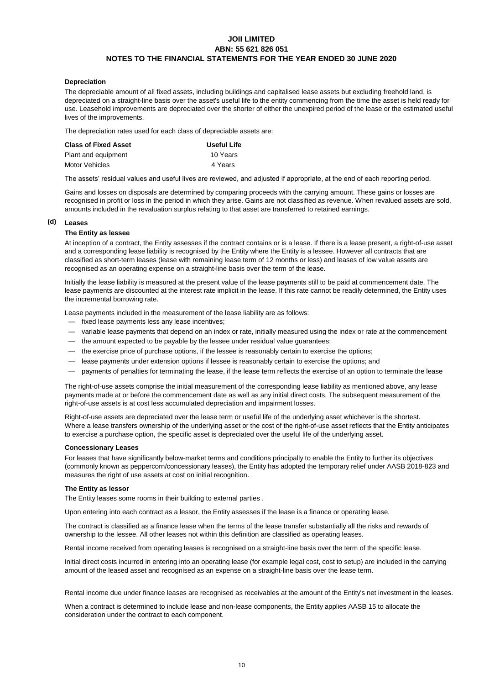#### **Depreciation**

The depreciable amount of all fixed assets, including buildings and capitalised lease assets but excluding freehold land, is depreciated on a straight-line basis over the asset's useful life to the entity commencing from the time the asset is held ready for use. Leasehold improvements are depreciated over the shorter of either the unexpired period of the lease or the estimated useful lives of the improvements.

The depreciation rates used for each class of depreciable assets are:

| Class of Fixed Asset | Useful Life |
|----------------------|-------------|
| Plant and equipment  | 10 Years    |
| Motor Vehicles       | 4 Years     |

The assets' residual values and useful lives are reviewed, and adjusted if appropriate, at the end of each reporting period.

Gains and losses on disposals are determined by comparing proceeds with the carrying amount. These gains or losses are recognised in profit or loss in the period in which they arise. Gains are not classified as revenue. When revalued assets are sold, amounts included in the revaluation surplus relating to that asset are transferred to retained earnings.

#### **(d) Leases**

#### **The Entity as lessee**

At inception of a contract, the Entity assesses if the contract contains or is a lease. If there is a lease present, a right-of-use asset and a corresponding lease liability is recognised by the Entity where the Entity is a lessee. However all contracts that are classified as short-term leases (lease with remaining lease term of 12 months or less) and leases of low value assets are recognised as an operating expense on a straight-line basis over the term of the lease.

Initially the lease liability is measured at the present value of the lease payments still to be paid at commencement date. The lease payments are discounted at the interest rate implicit in the lease. If this rate cannot be readily determined, the Entity uses the incremental borrowing rate.

Lease payments included in the measurement of the lease liability are as follows:

- fixed lease payments less any lease incentives;
- variable lease payments that depend on an index or rate, initially measured using the index or rate at the commencement
- the amount expected to be payable by the lessee under residual value guarantees;
- the exercise price of purchase options, if the lessee is reasonably certain to exercise the options;
- lease payments under extension options if lessee is reasonably certain to exercise the options; and
- payments of penalties for terminating the lease, if the lease term reflects the exercise of an option to terminate the lease

The right-of-use assets comprise the initial measurement of the corresponding lease liability as mentioned above, any lease payments made at or before the commencement date as well as any initial direct costs. The subsequent measurement of the right-of-use assets is at cost less accumulated depreciation and impairment losses.

Right-of-use assets are depreciated over the lease term or useful life of the underlying asset whichever is the shortest. Where a lease transfers ownership of the underlying asset or the cost of the right-of-use asset reflects that the Entity anticipates to exercise a purchase option, the specific asset is depreciated over the useful life of the underlying asset.

#### **Concessionary Leases**

For leases that have significantly below-market terms and conditions principally to enable the Entity to further its objectives (commonly known as peppercorn/concessionary leases), the Entity has adopted the temporary relief under AASB 2018-823 and measures the right of use assets at cost on initial recognition.

#### **The Entity as lessor**

The Entity leases some rooms in their building to external parties .

Upon entering into each contract as a lessor, the Entity assesses if the lease is a finance or operating lease.

The contract is classified as a finance lease when the terms of the lease transfer substantially all the risks and rewards of ownership to the lessee. All other leases not within this definition are classified as operating leases.

Rental income received from operating leases is recognised on a straight-line basis over the term of the specific lease.

Initial direct costs incurred in entering into an operating lease (for example legal cost, cost to setup) are included in the carrying amount of the leased asset and recognised as an expense on a straight-line basis over the lease term.

Rental income due under finance leases are recognised as receivables at the amount of the Entity's net investment in the leases.

When a contract is determined to include lease and non-lease components, the Entity applies AASB 15 to allocate the consideration under the contract to each component.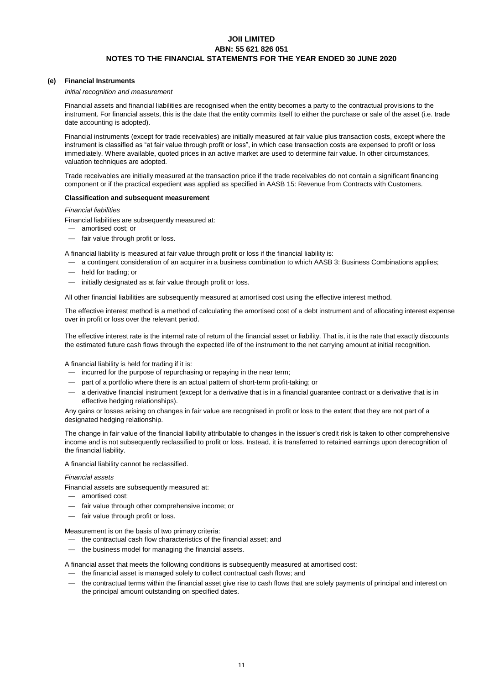### **(e) Financial Instruments**

#### *Initial recognition and measurement*

Financial assets and financial liabilities are recognised when the entity becomes a party to the contractual provisions to the instrument. For financial assets, this is the date that the entity commits itself to either the purchase or sale of the asset (i.e. trade date accounting is adopted).

Financial instruments (except for trade receivables) are initially measured at fair value plus transaction costs, except where the instrument is classified as "at fair value through profit or loss", in which case transaction costs are expensed to profit or loss immediately. Where available, quoted prices in an active market are used to determine fair value. In other circumstances, valuation techniques are adopted.

Trade receivables are initially measured at the transaction price if the trade receivables do not contain a significant financing component or if the practical expedient was applied as specified in AASB 15: Revenue from Contracts with Customers.

#### **Classification and subsequent measurement**

#### *Financial liabilities*

Financial liabilities are subsequently measured at:

- amortised cost; or
- fair value through profit or loss.

A financial liability is measured at fair value through profit or loss if the financial liability is:

— a contingent consideration of an acquirer in a business combination to which AASB 3: Business Combinations applies;

- held for trading; or
- initially designated as at fair value through profit or loss.

All other financial liabilities are subsequently measured at amortised cost using the effective interest method.

The effective interest method is a method of calculating the amortised cost of a debt instrument and of allocating interest expense over in profit or loss over the relevant period.

The effective interest rate is the internal rate of return of the financial asset or liability. That is, it is the rate that exactly discounts the estimated future cash flows through the expected life of the instrument to the net carrying amount at initial recognition.

A financial liability is held for trading if it is:

- incurred for the purpose of repurchasing or repaying in the near term;
- part of a portfolio where there is an actual pattern of short-term profit-taking; or
- a derivative financial instrument (except for a derivative that is in a financial guarantee contract or a derivative that is in effective hedging relationships).

Any gains or losses arising on changes in fair value are recognised in profit or loss to the extent that they are not part of a designated hedging relationship.

The change in fair value of the financial liability attributable to changes in the issuer's credit risk is taken to other comprehensive income and is not subsequently reclassified to profit or loss. Instead, it is transferred to retained earnings upon derecognition of the financial liability.

A financial liability cannot be reclassified.

#### *Financial assets*

Financial assets are subsequently measured at:

- amortised cost;
- fair value through other comprehensive income; or
- fair value through profit or loss.

Measurement is on the basis of two primary criteria:

- the contractual cash flow characteristics of the financial asset; and
- the business model for managing the financial assets.

A financial asset that meets the following conditions is subsequently measured at amortised cost:

- the financial asset is managed solely to collect contractual cash flows; and
- the contractual terms within the financial asset give rise to cash flows that are solely payments of principal and interest on the principal amount outstanding on specified dates.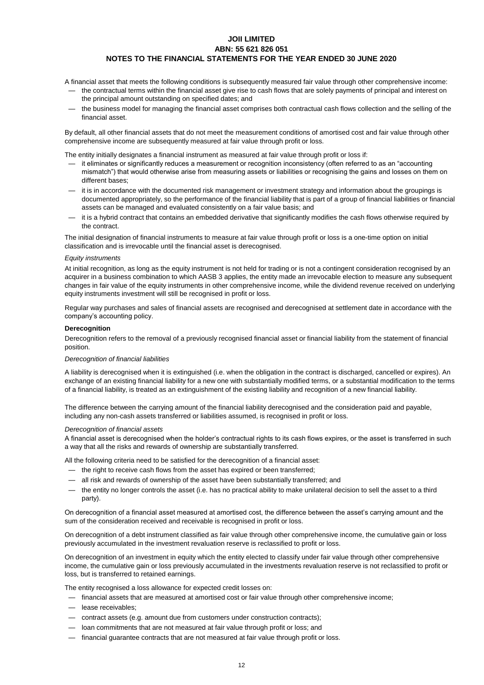A financial asset that meets the following conditions is subsequently measured fair value through other comprehensive income:

- the contractual terms within the financial asset give rise to cash flows that are solely payments of principal and interest on the principal amount outstanding on specified dates; and
- the business model for managing the financial asset comprises both contractual cash flows collection and the selling of the financial asset.

By default, all other financial assets that do not meet the measurement conditions of amortised cost and fair value through other comprehensive income are subsequently measured at fair value through profit or loss.

The entity initially designates a financial instrument as measured at fair value through profit or loss if:

- it eliminates or significantly reduces a measurement or recognition inconsistency (often referred to as an "accounting mismatch") that would otherwise arise from measuring assets or liabilities or recognising the gains and losses on them on different bases;
- it is in accordance with the documented risk management or investment strategy and information about the groupings is documented appropriately, so the performance of the financial liability that is part of a group of financial liabilities or financial assets can be managed and evaluated consistently on a fair value basis; and
- it is a hybrid contract that contains an embedded derivative that significantly modifies the cash flows otherwise required by the contract.

The initial designation of financial instruments to measure at fair value through profit or loss is a one-time option on initial classification and is irrevocable until the financial asset is derecognised.

#### *Equity instruments*

At initial recognition, as long as the equity instrument is not held for trading or is not a contingent consideration recognised by an acquirer in a business combination to which AASB 3 applies, the entity made an irrevocable election to measure any subsequent changes in fair value of the equity instruments in other comprehensive income, while the dividend revenue received on underlying equity instruments investment will still be recognised in profit or loss.

Regular way purchases and sales of financial assets are recognised and derecognised at settlement date in accordance with the company's accounting policy.

#### **Derecognition**

Derecognition refers to the removal of a previously recognised financial asset or financial liability from the statement of financial position.

#### *Derecognition of financial liabilities*

A liability is derecognised when it is extinguished (i.e. when the obligation in the contract is discharged, cancelled or expires). An exchange of an existing financial liability for a new one with substantially modified terms, or a substantial modification to the terms of a financial liability, is treated as an extinguishment of the existing liability and recognition of a new financial liability.

The difference between the carrying amount of the financial liability derecognised and the consideration paid and payable, including any non-cash assets transferred or liabilities assumed, is recognised in profit or loss.

#### *Derecognition of financial assets*

A financial asset is derecognised when the holder's contractual rights to its cash flows expires, or the asset is transferred in such a way that all the risks and rewards of ownership are substantially transferred.

All the following criteria need to be satisfied for the derecognition of a financial asset:

- the right to receive cash flows from the asset has expired or been transferred;
- all risk and rewards of ownership of the asset have been substantially transferred; and
- the entity no longer controls the asset (i.e. has no practical ability to make unilateral decision to sell the asset to a third party).

On derecognition of a financial asset measured at amortised cost, the difference between the asset's carrying amount and the sum of the consideration received and receivable is recognised in profit or loss.

On derecognition of a debt instrument classified as fair value through other comprehensive income, the cumulative gain or loss previously accumulated in the investment revaluation reserve is reclassified to profit or loss.

On derecognition of an investment in equity which the entity elected to classify under fair value through other comprehensive income, the cumulative gain or loss previously accumulated in the investments revaluation reserve is not reclassified to profit or loss, but is transferred to retained earnings.

The entity recognised a loss allowance for expected credit losses on:

- financial assets that are measured at amortised cost or fair value through other comprehensive income;
- lease receivables;
- contract assets (e.g. amount due from customers under construction contracts);
- loan commitments that are not measured at fair value through profit or loss; and
- financial guarantee contracts that are not measured at fair value through profit or loss.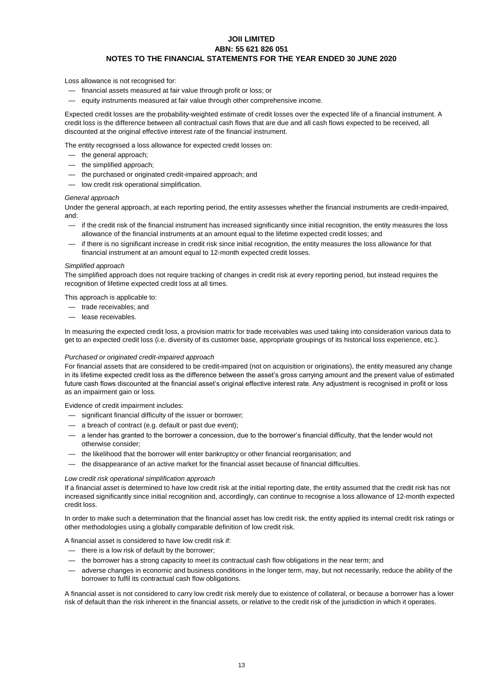Loss allowance is not recognised for:

- financial assets measured at fair value through profit or loss; or
- equity instruments measured at fair value through other comprehensive income.

Expected credit losses are the probability-weighted estimate of credit losses over the expected life of a financial instrument. A credit loss is the difference between all contractual cash flows that are due and all cash flows expected to be received, all discounted at the original effective interest rate of the financial instrument.

The entity recognised a loss allowance for expected credit losses on:

- the general approach;
- the simplified approach;
- the purchased or originated credit-impaired approach; and
- low credit risk operational simplification.

#### *General approach*

Under the general approach, at each reporting period, the entity assesses whether the financial instruments are credit-impaired, and:

- if the credit risk of the financial instrument has increased significantly since initial recognition, the entity measures the loss allowance of the financial instruments at an amount equal to the lifetime expected credit losses; and
- if there is no significant increase in credit risk since initial recognition, the entity measures the loss allowance for that financial instrument at an amount equal to 12-month expected credit losses.

#### *Simplified approach*

The simplified approach does not require tracking of changes in credit risk at every reporting period, but instead requires the recognition of lifetime expected credit loss at all times.

This approach is applicable to:

- trade receivables; and
- lease receivables.

In measuring the expected credit loss, a provision matrix for trade receivables was used taking into consideration various data to get to an expected credit loss (i.e. diversity of its customer base, appropriate groupings of its historical loss experience, etc.).

#### *Purchased or originated credit-impaired approach*

For financial assets that are considered to be credit-impaired (not on acquisition or originations), the entity measured any change in its lifetime expected credit loss as the difference between the asset's gross carrying amount and the present value of estimated future cash flows discounted at the financial asset's original effective interest rate. Any adjustment is recognised in profit or loss as an impairment gain or loss.

Evidence of credit impairment includes:

- significant financial difficulty of the issuer or borrower;
- a breach of contract (e.g. default or past due event);
- a lender has granted to the borrower a concession, due to the borrower's financial difficulty, that the lender would not otherwise consider;
- the likelihood that the borrower will enter bankruptcy or other financial reorganisation; and
- the disappearance of an active market for the financial asset because of financial difficulties.

#### *Low credit risk operational simplification approach*

If a financial asset is determined to have low credit risk at the initial reporting date, the entity assumed that the credit risk has not increased significantly since initial recognition and, accordingly, can continue to recognise a loss allowance of 12-month expected credit loss.

In order to make such a determination that the financial asset has low credit risk, the entity applied its internal credit risk ratings or other methodologies using a globally comparable definition of low credit risk.

A financial asset is considered to have low credit risk if:

— there is a low risk of default by the borrower;

- the borrower has a strong capacity to meet its contractual cash flow obligations in the near term; and
- adverse changes in economic and business conditions in the longer term, may, but not necessarily, reduce the ability of the borrower to fulfil its contractual cash flow obligations.

A financial asset is not considered to carry low credit risk merely due to existence of collateral, or because a borrower has a lower risk of default than the risk inherent in the financial assets, or relative to the credit risk of the jurisdiction in which it operates.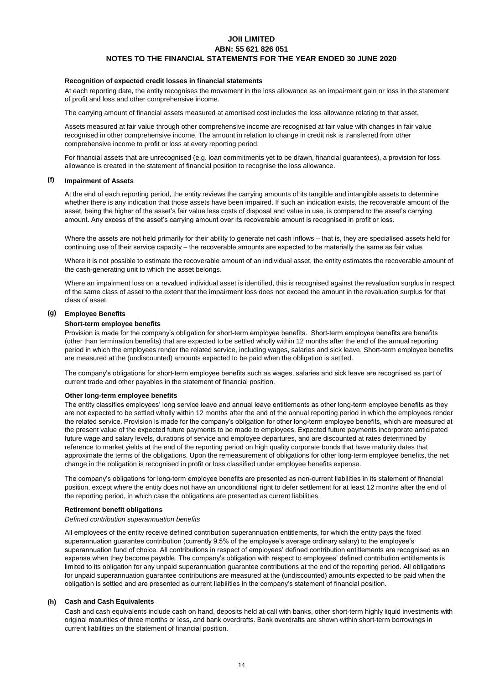#### **Recognition of expected credit losses in financial statements**

At each reporting date, the entity recognises the movement in the loss allowance as an impairment gain or loss in the statement of profit and loss and other comprehensive income.

The carrying amount of financial assets measured at amortised cost includes the loss allowance relating to that asset.

Assets measured at fair value through other comprehensive income are recognised at fair value with changes in fair value recognised in other comprehensive income. The amount in relation to change in credit risk is transferred from other comprehensive income to profit or loss at every reporting period.

For financial assets that are unrecognised (e.g. loan commitments yet to be drawn, financial guarantees), a provision for loss allowance is created in the statement of financial position to recognise the loss allowance.

#### **(f) Impairment of Assets**

At the end of each reporting period, the entity reviews the carrying amounts of its tangible and intangible assets to determine whether there is any indication that those assets have been impaired. If such an indication exists, the recoverable amount of the asset, being the higher of the asset's fair value less costs of disposal and value in use, is compared to the asset's carrying amount. Any excess of the asset's carrying amount over its recoverable amount is recognised in profit or loss.

Where the assets are not held primarily for their ability to generate net cash inflows – that is, they are specialised assets held for continuing use of their service capacity – the recoverable amounts are expected to be materially the same as fair value.

Where it is not possible to estimate the recoverable amount of an individual asset, the entity estimates the recoverable amount of the cash-generating unit to which the asset belongs.

Where an impairment loss on a revalued individual asset is identified, this is recognised against the revaluation surplus in respect of the same class of asset to the extent that the impairment loss does not exceed the amount in the revaluation surplus for that class of asset.

#### **(g) Employee Benefits**

#### **Short-term employee benefits**

Provision is made for the company's obligation for short-term employee benefits. Short-term employee benefits are benefits (other than termination benefits) that are expected to be settled wholly within 12 months after the end of the annual reporting period in which the employees render the related service, including wages, salaries and sick leave. Short-term employee benefits are measured at the (undiscounted) amounts expected to be paid when the obligation is settled.

The company's obligations for short-term employee benefits such as wages, salaries and sick leave are recognised as part of current trade and other payables in the statement of financial position.

#### **Other long-term employee benefits**

The entity classifies employees' long service leave and annual leave entitlements as other long-term employee benefits as they are not expected to be settled wholly within 12 months after the end of the annual reporting period in which the employees render the related service. Provision is made for the company's obligation for other long-term employee benefits, which are measured at the present value of the expected future payments to be made to employees. Expected future payments incorporate anticipated future wage and salary levels, durations of service and employee departures, and are discounted at rates determined by reference to market yields at the end of the reporting period on high quality corporate bonds that have maturity dates that approximate the terms of the obligations. Upon the remeasurement of obligations for other long-term employee benefits, the net change in the obligation is recognised in profit or loss classified under employee benefits expense.

The company's obligations for long-term employee benefits are presented as non-current liabilities in its statement of financial position, except where the entity does not have an unconditional right to defer settlement for at least 12 months after the end of the reporting period, in which case the obligations are presented as current liabilities.

#### **Retirement benefit obligations**

#### *Defined contribution superannuation benefits*

All employees of the entity receive defined contribution superannuation entitlements, for which the entity pays the fixed superannuation guarantee contribution (currently 9.5% of the employee's average ordinary salary) to the employee's superannuation fund of choice. All contributions in respect of employees' defined contribution entitlements are recognised as an expense when they become payable. The company's obligation with respect to employees' defined contribution entitlements is limited to its obligation for any unpaid superannuation guarantee contributions at the end of the reporting period. All obligations for unpaid superannuation guarantee contributions are measured at the (undiscounted) amounts expected to be paid when the obligation is settled and are presented as current liabilities in the company's statement of financial position.

#### **(h) Cash and Cash Equivalents**

Cash and cash equivalents include cash on hand, deposits held at-call with banks, other short-term highly liquid investments with original maturities of three months or less, and bank overdrafts. Bank overdrafts are shown within short-term borrowings in current liabilities on the statement of financial position.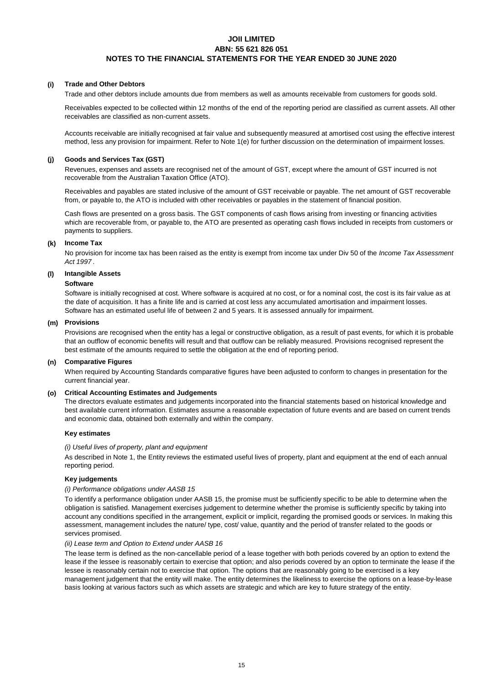### **(i) Trade and Other Debtors**

Trade and other debtors include amounts due from members as well as amounts receivable from customers for goods sold.

Receivables expected to be collected within 12 months of the end of the reporting period are classified as current assets. All other receivables are classified as non-current assets.

Accounts receivable are initially recognised at fair value and subsequently measured at amortised cost using the effective interest method, less any provision for impairment. Refer to Note 1(e) for further discussion on the determination of impairment losses.

#### **(j) Goods and Services Tax (GST)**

Revenues, expenses and assets are recognised net of the amount of GST, except where the amount of GST incurred is not recoverable from the Australian Taxation Office (ATO).

Receivables and payables are stated inclusive of the amount of GST receivable or payable. The net amount of GST recoverable from, or payable to, the ATO is included with other receivables or payables in the statement of financial position.

Cash flows are presented on a gross basis. The GST components of cash flows arising from investing or financing activities which are recoverable from, or payable to, the ATO are presented as operating cash flows included in receipts from customers or payments to suppliers.

## **(k) Income Tax**

No provision for income tax has been raised as the entity is exempt from income tax under Div 50 of the *Income Tax Assessment Act 1997* .

# **(l) Intangible Assets**

### **Software**

Software is initially recognised at cost. Where software is acquired at no cost, or for a nominal cost, the cost is its fair value as at the date of acquisition. It has a finite life and is carried at cost less any accumulated amortisation and impairment losses. Software has an estimated useful life of between 2 and 5 years. It is assessed annually for impairment.

## **(m) Provisions**

Provisions are recognised when the entity has a legal or constructive obligation, as a result of past events, for which it is probable that an outflow of economic benefits will result and that outflow can be reliably measured. Provisions recognised represent the best estimate of the amounts required to settle the obligation at the end of reporting period.

#### **(n) Comparative Figures**

When required by Accounting Standards comparative figures have been adjusted to conform to changes in presentation for the current financial year.

#### **(o) Critical Accounting Estimates and Judgements**

The directors evaluate estimates and judgements incorporated into the financial statements based on historical knowledge and best available current information. Estimates assume a reasonable expectation of future events and are based on current trends and economic data, obtained both externally and within the company.

#### **Key estimates**

#### *(i) Useful lives of property, plant and equipment*

As described in Note 1, the Entity reviews the estimated useful lives of property, plant and equipment at the end of each annual reporting period.

#### **Key judgements**

## *(i) Performance obligations under AASB 15*

To identify a performance obligation under AASB 15, the promise must be sufficiently specific to be able to determine when the obligation is satisfied. Management exercises judgement to determine whether the promise is sufficiently specific by taking into account any conditions specified in the arrangement, explicit or implicit, regarding the promised goods or services. In making this assessment, management includes the nature/ type, cost/ value, quantity and the period of transfer related to the goods or services promised.

#### *(ii) Lease term and Option to Extend under AASB 16*

The lease term is defined as the non-cancellable period of a lease together with both periods covered by an option to extend the lease if the lessee is reasonably certain to exercise that option; and also periods covered by an option to terminate the lease if the lessee is reasonably certain not to exercise that option. The options that are reasonably going to be exercised is a key management judgement that the entity will make. The entity determines the likeliness to exercise the options on a lease-by-lease basis looking at various factors such as which assets are strategic and which are key to future strategy of the entity.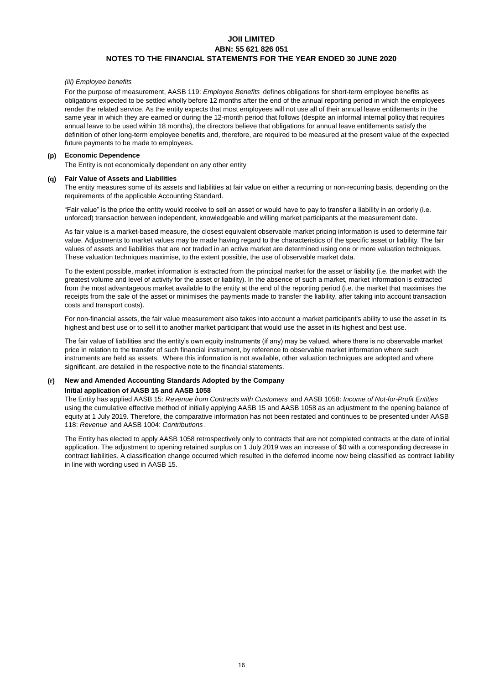#### *(iii) Employee benefits*

For the purpose of measurement, AASB 119: *Employee Benefits* defines obligations for short-term employee benefits as obligations expected to be settled wholly before 12 months after the end of the annual reporting period in which the employees render the related service. As the entity expects that most employees will not use all of their annual leave entitlements in the same year in which they are earned or during the 12-month period that follows (despite an informal internal policy that requires annual leave to be used within 18 months), the directors believe that obligations for annual leave entitlements satisfy the definition of other long-term employee benefits and, therefore, are required to be measured at the present value of the expected future payments to be made to employees.

#### **(p) Economic Dependence**

The Entity is not economically dependent on any other entity

#### **(q) Fair Value of Assets and Liabilities**

The entity measures some of its assets and liabilities at fair value on either a recurring or non-recurring basis, depending on the requirements of the applicable Accounting Standard.

"Fair value" is the price the entity would receive to sell an asset or would have to pay to transfer a liability in an orderly (i.e. unforced) transaction between independent, knowledgeable and willing market participants at the measurement date.

As fair value is a market-based measure, the closest equivalent observable market pricing information is used to determine fair value. Adjustments to market values may be made having regard to the characteristics of the specific asset or liability. The fair values of assets and liabilities that are not traded in an active market are determined using one or more valuation techniques. These valuation techniques maximise, to the extent possible, the use of observable market data.

To the extent possible, market information is extracted from the principal market for the asset or liability (i.e. the market with the greatest volume and level of activity for the asset or liability). In the absence of such a market, market information is extracted from the most advantageous market available to the entity at the end of the reporting period (i.e. the market that maximises the receipts from the sale of the asset or minimises the payments made to transfer the liability, after taking into account transaction costs and transport costs).

For non-financial assets, the fair value measurement also takes into account a market participant's ability to use the asset in its highest and best use or to sell it to another market participant that would use the asset in its highest and best use.

The fair value of liabilities and the entity's own equity instruments (if any) may be valued, where there is no observable market price in relation to the transfer of such financial instrument, by reference to observable market information where such instruments are held as assets. Where this information is not available, other valuation techniques are adopted and where significant, are detailed in the respective note to the financial statements.

# **(r) New and Amended Accounting Standards Adopted by the Company**

#### **Initial application of AASB 15 and AASB 1058**

The Entity has applied AASB 15: *Revenue from Contracts with Customers* and AASB 1058: *Income of Not-for-Profit Entities*  using the cumulative effective method of initially applying AASB 15 and AASB 1058 as an adjustment to the opening balance of equity at 1 July 2019. Therefore, the comparative information has not been restated and continues to be presented under AASB 118: *Revenue* and AASB 1004: *Contributions* .

The Entity has elected to apply AASB 1058 retrospectively only to contracts that are not completed contracts at the date of initial application. The adjustment to opening retained surplus on 1 July 2019 was an increase of \$0 with a corresponding decrease in contract liabilities. A classification change occurred which resulted in the deferred income now being classified as contract liability in line with wording used in AASB 15.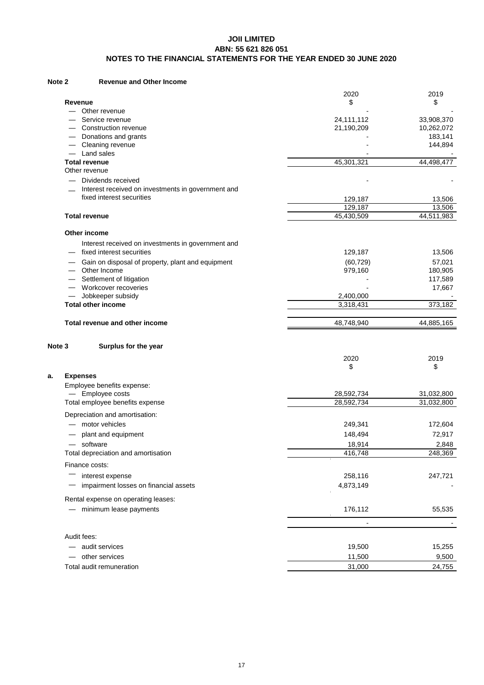#### **Note 2 Revenue and Other Income**

|                                                    | 2020                     | 2019                  |
|----------------------------------------------------|--------------------------|-----------------------|
| Revenue                                            | \$                       | \$                    |
| Other revenue                                      |                          |                       |
| Service revenue                                    | 24,111,112               | 33,908,370            |
| Construction revenue<br>Donations and grants       | 21,190,209               | 10,262,072<br>183,141 |
| Cleaning revenue                                   |                          | 144,894               |
| Land sales                                         |                          |                       |
| <b>Total revenue</b>                               | 45,301,321               | 44,498,477            |
| Other revenue                                      |                          |                       |
| Dividends received                                 |                          |                       |
| Interest received on investments in government and |                          |                       |
| fixed interest securities                          | 129,187                  | 13,506                |
|                                                    | 129,187                  | 13,506                |
| <b>Total revenue</b>                               | 45,430,509               | 44,511,983            |
| Other income                                       |                          |                       |
| Interest received on investments in government and |                          |                       |
| fixed interest securities                          | 129,187                  | 13,506                |
| Gain on disposal of property, plant and equipment  | (60, 729)                | 57,021                |
| Other Income                                       | 979,160                  | 180,905               |
| Settlement of litigation                           |                          | 117,589               |
| Workcover recoveries                               |                          | 17,667                |
| Jobkeeper subsidy                                  | 2,400,000                |                       |
| <b>Total other income</b>                          | 3,318,431                | 373,182               |
| Total revenue and other income                     | 48,748,940               | 44,885,165            |
|                                                    |                          |                       |
| Note 3<br>Surplus for the year                     |                          |                       |
|                                                    | 2020                     | 2019                  |
|                                                    | \$                       | \$                    |
| <b>Expenses</b><br>a.                              |                          |                       |
| Employee benefits expense:                         |                          |                       |
| - Employee costs                                   | 28,592,734               | 31,032,800            |
| Total employee benefits expense                    | 28,592,734               | 31,032,800            |
| Depreciation and amortisation:                     |                          |                       |
| - motor vehicles                                   | 249,341                  | 172,604               |
| plant and equipment                                | 148,494                  | 72,917                |
| — software                                         | 18,914                   | 2,848                 |
| Total depreciation and amortisation                | 416,748                  | 248,369               |
| Finance costs:                                     |                          |                       |
| interest expense                                   | 258,116                  | 247,721               |
| impairment losses on financial assets              | 4,873,149                |                       |
|                                                    |                          |                       |
| Rental expense on operating leases:                |                          |                       |
| - minimum lease payments                           | 176,112                  | 55,535                |
|                                                    | $\overline{\phantom{a}}$ |                       |
| Audit fees:                                        |                          |                       |
| - audit services                                   | 19,500                   | 15,255                |
| other services<br>Total audit remuneration         | 11,500<br>31,000         | 9,500<br>24,755       |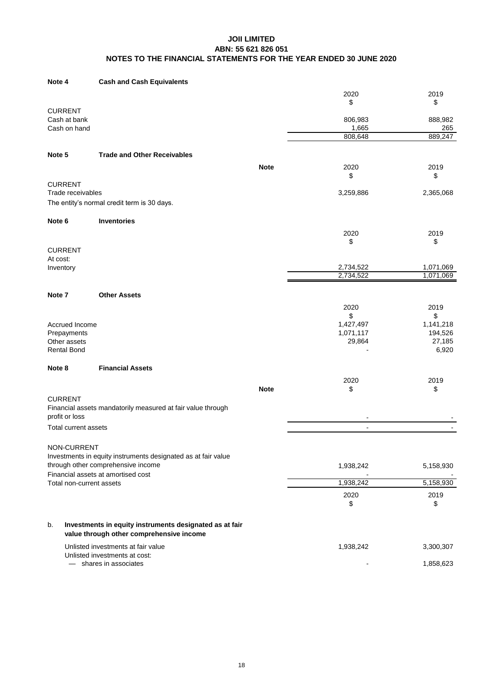#### **Cash and Cash Equivalents Note 4**

|                                                |                                                                                                                                           |             | 2020<br>\$          | 2019<br>\$             |
|------------------------------------------------|-------------------------------------------------------------------------------------------------------------------------------------------|-------------|---------------------|------------------------|
| <b>CURRENT</b><br>Cash at bank<br>Cash on hand |                                                                                                                                           |             | 806,983<br>1,665    | 888,982<br>265         |
|                                                |                                                                                                                                           |             | 808,648             | 889,247                |
| Note 5                                         | <b>Trade and Other Receivables</b>                                                                                                        |             |                     |                        |
|                                                |                                                                                                                                           | <b>Note</b> | 2020<br>\$          | 2019<br>\$             |
| <b>CURRENT</b><br>Trade receivables            |                                                                                                                                           |             | 3,259,886           | 2,365,068              |
|                                                | The entity's normal credit term is 30 days.                                                                                               |             |                     |                        |
| Note 6                                         | <b>Inventories</b>                                                                                                                        |             |                     |                        |
| <b>CURRENT</b>                                 |                                                                                                                                           |             | 2020<br>\$          | 2019<br>\$             |
| At cost:<br>Inventory                          |                                                                                                                                           |             | 2,734,522           | 1,071,069              |
|                                                |                                                                                                                                           |             | 2,734,522           | 1,071,069              |
| Note 7                                         | <b>Other Assets</b>                                                                                                                       |             |                     |                        |
|                                                |                                                                                                                                           |             | 2020                | 2019                   |
|                                                |                                                                                                                                           |             | \$                  | \$                     |
| Accrued Income                                 |                                                                                                                                           |             | 1,427,497           | 1,141,218              |
| Prepayments<br>Other assets                    |                                                                                                                                           |             | 1,071,117<br>29,864 | 194,526<br>27,185      |
| <b>Rental Bond</b>                             |                                                                                                                                           |             |                     | 6,920                  |
| Note 8                                         | <b>Financial Assets</b>                                                                                                                   |             |                     |                        |
|                                                |                                                                                                                                           |             | 2020                | 2019                   |
| <b>CURRENT</b>                                 |                                                                                                                                           | <b>Note</b> | \$                  | \$                     |
| profit or loss                                 | Financial assets mandatorily measured at fair value through                                                                               |             |                     |                        |
| Total current assets                           |                                                                                                                                           |             | $\overline{a}$      |                        |
| NON-CURRENT                                    |                                                                                                                                           |             |                     |                        |
|                                                | Investments in equity instruments designated as at fair value<br>through other comprehensive income<br>Financial assets at amortised cost |             | 1,938,242           | 5,158,930              |
| Total non-current assets                       |                                                                                                                                           |             | 1,938,242           | 5,158,930              |
|                                                |                                                                                                                                           |             | 2020<br>\$          | 2019<br>\$             |
| b.                                             | Investments in equity instruments designated as at fair                                                                                   |             |                     |                        |
|                                                | value through other comprehensive income                                                                                                  |             |                     |                        |
|                                                | Unlisted investments at fair value<br>Unlisted investments at cost:<br>- shares in associates                                             |             | 1,938,242           | 3,300,307<br>1,858,623 |
|                                                |                                                                                                                                           |             |                     |                        |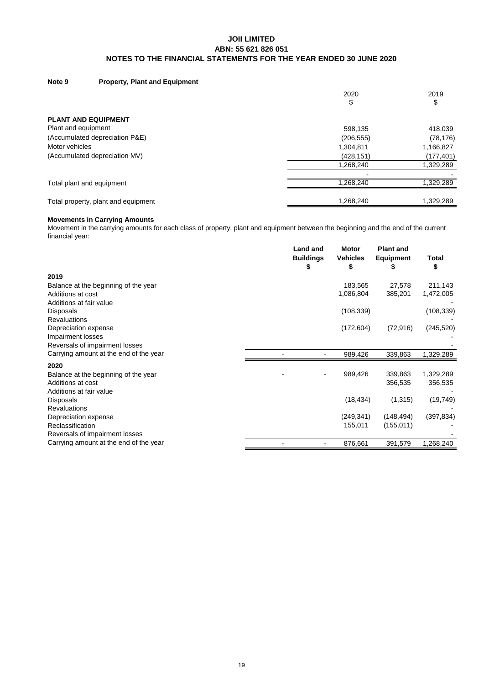#### **Note 9 Property, Plant and Equipment**

|                                     | 2020<br>\$               | 2019<br>\$ |
|-------------------------------------|--------------------------|------------|
| <b>PLANT AND EQUIPMENT</b>          |                          |            |
| Plant and equipment                 | 598,135                  | 418,039    |
| (Accumulated depreciation P&E)      | (206, 555)               | (78, 176)  |
| Motor vehicles                      | 1,304,811                | 1,166,827  |
| (Accumulated depreciation MV)       | (428, 151)               | (177, 401) |
|                                     | 1,268,240                | 1,329,289  |
|                                     | $\overline{\phantom{0}}$ |            |
| Total plant and equipment           | 1.268.240                | 1,329,289  |
| Total property, plant and equipment | 1,268,240                | 1,329,289  |

### **Movements in Carrying Amounts**

Movement in the carrying amounts for each class of property, plant and equipment between the beginning and the end of the current financial year:

|                                        | <b>Land and</b><br><b>Buildings</b><br>æ | <b>Motor</b><br><b>Vehicles</b><br>\$ | <b>Plant and</b><br><b>Equipment</b><br>C | Total<br>\$ |
|----------------------------------------|------------------------------------------|---------------------------------------|-------------------------------------------|-------------|
| 2019                                   |                                          |                                       |                                           |             |
| Balance at the beginning of the year   |                                          | 183,565                               | 27,578                                    | 211,143     |
| Additions at cost                      |                                          | 1,086,804                             | 385,201                                   | 1,472,005   |
| Additions at fair value                |                                          |                                       |                                           |             |
| <b>Disposals</b>                       |                                          | (108, 339)                            |                                           | (108, 339)  |
| <b>Revaluations</b>                    |                                          |                                       |                                           |             |
| Depreciation expense                   |                                          | (172, 604)                            | (72, 916)                                 | (245, 520)  |
| Impairment losses                      |                                          |                                       |                                           |             |
| Reversals of impairment losses         |                                          |                                       |                                           |             |
| Carrying amount at the end of the year |                                          | 989,426                               | 339,863                                   | 1,329,289   |
| 2020                                   |                                          |                                       |                                           |             |
| Balance at the beginning of the year   |                                          | 989,426                               | 339,863                                   | 1,329,289   |
| Additions at cost                      |                                          |                                       | 356,535                                   | 356,535     |
| Additions at fair value                |                                          |                                       |                                           |             |
| <b>Disposals</b>                       |                                          | (18, 434)                             | (1,315)                                   | (19, 749)   |
| <b>Revaluations</b>                    |                                          |                                       |                                           |             |
| Depreciation expense                   |                                          | (249, 341)                            | (148, 494)                                | (397, 834)  |
| Reclassification                       |                                          | 155,011                               | (155, 011)                                |             |
| Reversals of impairment losses         |                                          |                                       |                                           |             |
| Carrying amount at the end of the year |                                          | 876,661                               | 391,579                                   | 1,268,240   |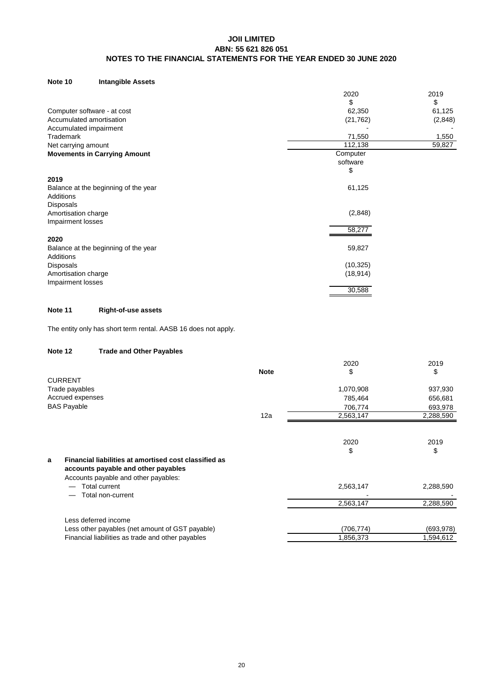#### **Note 10 Intangible Assets**

|                                      | 2020      | 2019    |
|--------------------------------------|-----------|---------|
|                                      | \$        | \$      |
| Computer software - at cost          | 62,350    | 61,125  |
| Accumulated amortisation             | (21, 762) | (2,848) |
| Accumulated impairment               |           |         |
| Trademark                            | 71,550    | 1,550   |
| Net carrying amount                  | 112,138   | 59,827  |
| <b>Movements in Carrying Amount</b>  | Computer  |         |
|                                      | software  |         |
|                                      | \$        |         |
| 2019                                 |           |         |
| Balance at the beginning of the year | 61,125    |         |
| <b>Additions</b>                     |           |         |
| Disposals                            |           |         |
| Amortisation charge                  | (2,848)   |         |
| Impairment losses                    |           |         |
|                                      | 58,277    |         |
| 2020                                 |           |         |
| Balance at the beginning of the year | 59,827    |         |
| <b>Additions</b>                     |           |         |
| Disposals                            | (10, 325) |         |
| Amortisation charge                  | (18, 914) |         |
| Impairment losses                    |           |         |
|                                      | 30,588    |         |
|                                      |           |         |

# **Note 11 Right-of-use assets**

The entity only has short term rental. AASB 16 does not apply.

#### **Trade and Other Payables Note 12**

|                                                            |             | 2020       | 2019      |
|------------------------------------------------------------|-------------|------------|-----------|
|                                                            | <b>Note</b> | \$         | \$        |
| <b>CURRENT</b>                                             |             |            |           |
| Trade payables                                             |             | 1,070,908  | 937,930   |
| Accrued expenses                                           |             | 785,464    | 656,681   |
| <b>BAS Payable</b>                                         |             | 706,774    | 693,978   |
|                                                            | 12a         | 2,563,147  | 2,288,590 |
|                                                            |             |            |           |
|                                                            |             | 2020       | 2019      |
|                                                            |             | \$         | \$        |
| Financial liabilities at amortised cost classified as<br>a |             |            |           |
| accounts payable and other payables                        |             |            |           |
| Accounts payable and other payables:                       |             |            |           |
| Total current                                              |             | 2,563,147  | 2,288,590 |
| Total non-current                                          |             |            |           |
|                                                            |             | 2,563,147  | 2,288,590 |
| Less deferred income                                       |             |            |           |
| Less other payables (net amount of GST payable)            |             | (706, 774) | (693,978) |
| Financial liabilities as trade and other payables          |             | 1,856,373  | 1,594,612 |
|                                                            |             |            |           |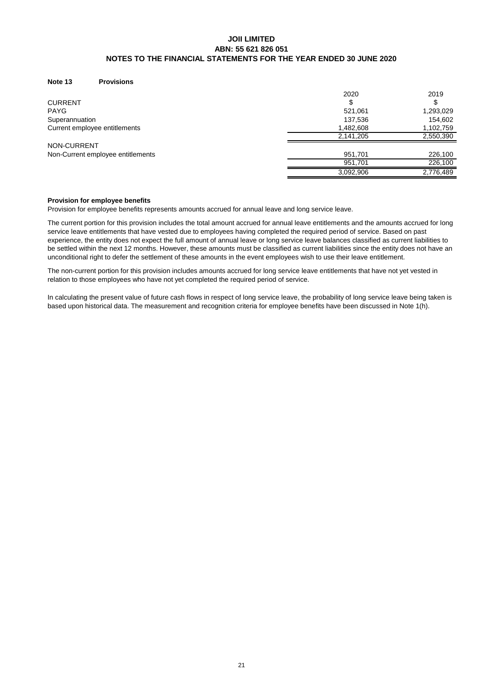#### **Note 13 Provisions**

|                                   | 2020      | 2019      |
|-----------------------------------|-----------|-----------|
| <b>CURRENT</b>                    |           |           |
| <b>PAYG</b>                       | 521,061   | 1,293,029 |
| Superannuation                    | 137,536   | 154,602   |
| Current employee entitlements     | 1,482,608 | 1,102,759 |
|                                   | 2,141,205 | 2,550,390 |
| NON-CURRENT                       |           |           |
| Non-Current employee entitlements | 951,701   | 226,100   |
|                                   | 951.701   | 226,100   |
|                                   | 3,092,906 | 2,776,489 |

#### **Provision for employee benefits**

Provision for employee benefits represents amounts accrued for annual leave and long service leave.

The current portion for this provision includes the total amount accrued for annual leave entitlements and the amounts accrued for long service leave entitlements that have vested due to employees having completed the required period of service. Based on past experience, the entity does not expect the full amount of annual leave or long service leave balances classified as current liabilities to be settled within the next 12 months. However, these amounts must be classified as current liabilities since the entity does not have an unconditional right to defer the settlement of these amounts in the event employees wish to use their leave entitlement.

The non-current portion for this provision includes amounts accrued for long service leave entitlements that have not yet vested in relation to those employees who have not yet completed the required period of service.

In calculating the present value of future cash flows in respect of long service leave, the probability of long service leave being taken is based upon historical data. The measurement and recognition criteria for employee benefits have been discussed in Note 1(h).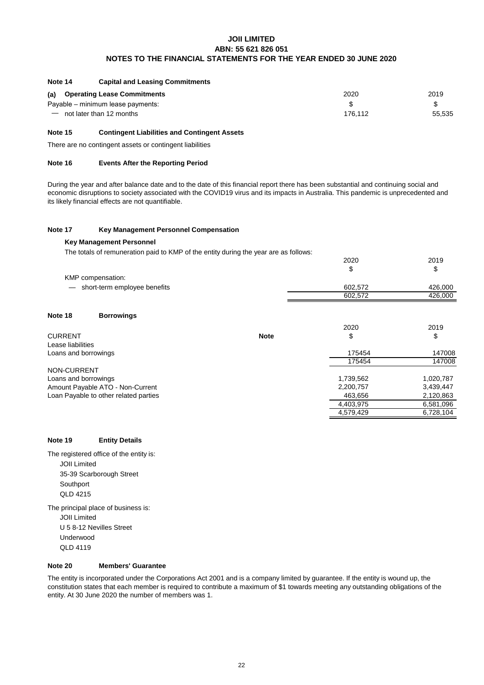#### **Capital and Leasing Commitments Note 14**

| (a) Operating Lease Commitments   | 2020    | 2019   |
|-----------------------------------|---------|--------|
| Payable – minimum lease payments: |         |        |
| $=$ not later than 12 months      | 176.112 | 55.535 |

#### **Contingent Liabilities and Contingent Assets Note 15**

There are no contingent assets or contingent liabilities

#### **Events After the Reporting Period Note 16**

During the year and after balance date and to the date of this financial report there has been substantial and continuing social and economic disruptions to society associated with the COVID19 virus and its impacts in Australia. This pandemic is unprecedented and its likely financial effects are not quantifiable.

#### **Note 17 Key Management Personnel Compensation**

#### **Key Management Personnel**

The totals of remuneration paid to KMP of the entity during the year are as follows:

| 2020      | 2019        |
|-----------|-------------|
| \$        | \$          |
|           |             |
| 602,572   | 426,000     |
| 602,572   | 426,000     |
|           |             |
|           |             |
| 2020      | 2019        |
| \$        | \$          |
|           |             |
| 175454    | 147008      |
| 175454    | 147008      |
|           |             |
| 1,739,562 | 1,020,787   |
| 2,200,757 | 3,439,447   |
| 463,656   | 2,120,863   |
| 4,403,975 | 6,581,096   |
| 4,579,429 | 6,728,104   |
|           | <b>Note</b> |

## **Note 19 Entity Details**

The principal place of business is: **Southport** The registered office of the entity is: JOII Limited U 5 8-12 Nevilles Street 35-39 Scarborough Street JOII Limited QLD 4215

Underwood QLD 4119

#### **Note 20 Members' Guarantee**

The entity is incorporated under the Corporations Act 2001 and is a company limited by guarantee. If the entity is wound up, the constitution states that each member is required to contribute a maximum of \$1 towards meeting any outstanding obligations of the entity. At 30 June 2020 the number of members was 1.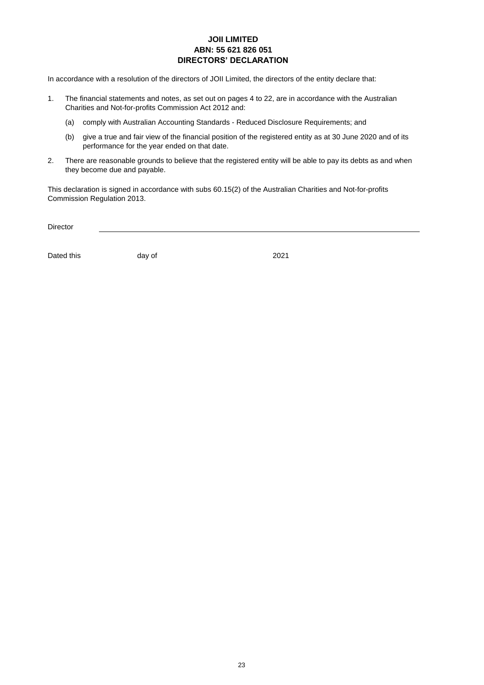# **JOII LIMITED ABN: 55 621 826 051 DIRECTORS' DECLARATION**

In accordance with a resolution of the directors of JOII Limited, the directors of the entity declare that:

- 1. The financial statements and notes, as set out on pages 4 to 22, are in accordance with the Australian Charities and Not-for-profits Commission Act 2012 and:
	- (a) comply with Australian Accounting Standards Reduced Disclosure Requirements; and
	- (b) give a true and fair view of the financial position of the registered entity as at 30 June 2020 and of its performance for the year ended on that date.
- 2. There are reasonable grounds to believe that the registered entity will be able to pay its debts as and when they become due and payable.

This declaration is signed in accordance with subs 60.15(2) of the Australian Charities and Not-for-profits Commission Regulation 2013.

Director

Dated this day of 2021

day of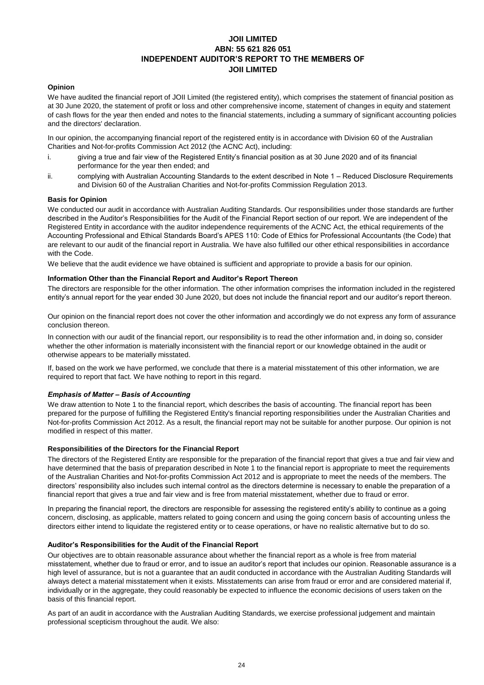# **JOII LIMITED ABN: 55 621 826 051 INDEPENDENT AUDITOR'S REPORT TO THE MEMBERS OF JOII LIMITED**

### **Opinion**

We have audited the financial report of JOII Limited (the registered entity), which comprises the statement of financial position as at 30 June 2020, the statement of profit or loss and other comprehensive income, statement of changes in equity and statement of cash flows for the year then ended and notes to the financial statements, including a summary of significant accounting policies and the directors' declaration.

In our opinion, the accompanying financial report of the registered entity is in accordance with Division 60 of the Australian Charities and Not-for-profits Commission Act 2012 (the ACNC Act), including:

- i. giving a true and fair view of the Registered Entity's financial position as at 30 June 2020 and of its financial performance for the year then ended; and
- ii. complying with Australian Accounting Standards to the extent described in Note 1 – Reduced Disclosure Requirements and Division 60 of the Australian Charities and Not-for-profits Commission Regulation 2013.

#### **Basis for Opinion**

We conducted our audit in accordance with Australian Auditing Standards. Our responsibilities under those standards are further described in the Auditor's Responsibilities for the Audit of the Financial Report section of our report. We are independent of the Registered Entity in accordance with the auditor independence requirements of the ACNC Act, the ethical requirements of the Accounting Professional and Ethical Standards Board's APES 110: Code of Ethics for Professional Accountants (the Code) that are relevant to our audit of the financial report in Australia. We have also fulfilled our other ethical responsibilities in accordance with the Code.

We believe that the audit evidence we have obtained is sufficient and appropriate to provide a basis for our opinion.

#### **Information Other than the Financial Report and Auditor's Report Thereon**

The directors are responsible for the other information. The other information comprises the information included in the registered entity's annual report for the year ended 30 June 2020, but does not include the financial report and our auditor's report thereon.

Our opinion on the financial report does not cover the other information and accordingly we do not express any form of assurance conclusion thereon.

In connection with our audit of the financial report, our responsibility is to read the other information and, in doing so, consider whether the other information is materially inconsistent with the financial report or our knowledge obtained in the audit or otherwise appears to be materially misstated.

If, based on the work we have performed, we conclude that there is a material misstatement of this other information, we are required to report that fact. We have nothing to report in this regard.

#### *Emphasis of Matter – Basis of Accounting*

We draw attention to Note 1 to the financial report, which describes the basis of accounting. The financial report has been prepared for the purpose of fulfilling the Registered Entity's financial reporting responsibilities under the Australian Charities and Not-for-profits Commission Act 2012. As a result, the financial report may not be suitable for another purpose. Our opinion is not modified in respect of this matter.

#### **Responsibilities of the Directors for the Financial Report**

The directors of the Registered Entity are responsible for the preparation of the financial report that gives a true and fair view and have determined that the basis of preparation described in Note 1 to the financial report is appropriate to meet the requirements of the Australian Charities and Not-for-profits Commission Act 2012 and is appropriate to meet the needs of the members. The directors' responsibility also includes such internal control as the directors determine is necessary to enable the preparation of a financial report that gives a true and fair view and is free from material misstatement, whether due to fraud or error.

In preparing the financial report, the directors are responsible for assessing the registered entity's ability to continue as a going concern, disclosing, as applicable, matters related to going concern and using the going concern basis of accounting unless the directors either intend to liquidate the registered entity or to cease operations, or have no realistic alternative but to do so.

### **Auditor's Responsibilities for the Audit of the Financial Report**

Our objectives are to obtain reasonable assurance about whether the financial report as a whole is free from material misstatement, whether due to fraud or error, and to issue an auditor's report that includes our opinion. Reasonable assurance is a high level of assurance, but is not a guarantee that an audit conducted in accordance with the Australian Auditing Standards will always detect a material misstatement when it exists. Misstatements can arise from fraud or error and are considered material if, individually or in the aggregate, they could reasonably be expected to influence the economic decisions of users taken on the basis of this financial report.

As part of an audit in accordance with the Australian Auditing Standards, we exercise professional judgement and maintain professional scepticism throughout the audit. We also: